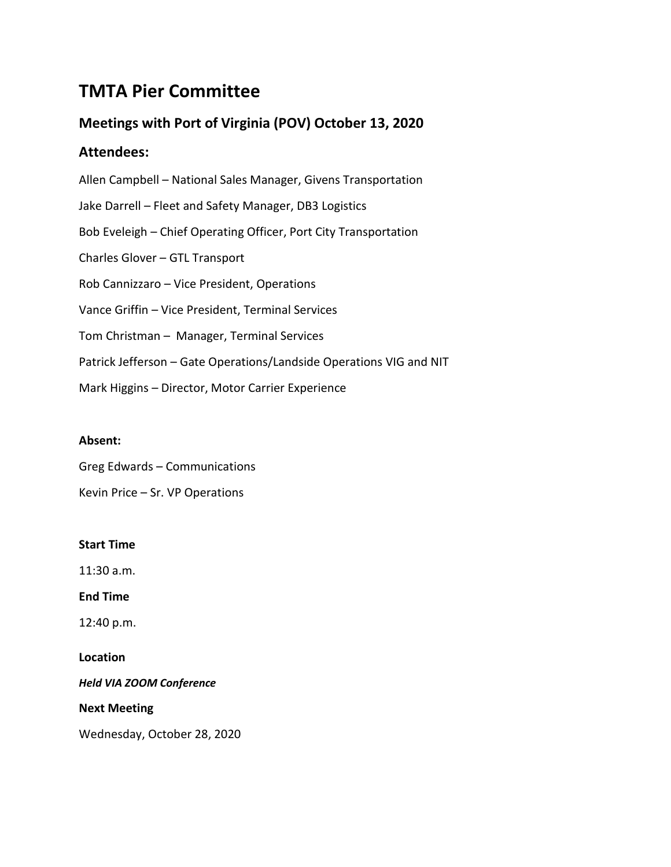# **TMTA Pier Committee**

# **Meetings with Port of Virginia (POV) October 13, 2020**

# **Attendees:**

Allen Campbell – National Sales Manager, Givens Transportation Jake Darrell – Fleet and Safety Manager, DB3 Logistics Bob Eveleigh – Chief Operating Officer, Port City Transportation Charles Glover – GTL Transport Rob Cannizzaro – Vice President, Operations Vance Griffin – Vice President, Terminal Services Tom Christman – Manager, Terminal Services Patrick Jefferson – Gate Operations/Landside Operations VIG and NIT Mark Higgins – Director, Motor Carrier Experience

### **Absent:**

Greg Edwards – Communications

Kevin Price – Sr. VP Operations

#### **Start Time**

11:30 a.m.

**End Time**

12:40 p.m.

**Location**

*Held VIA ZOOM Conference*

**Next Meeting**

Wednesday, October 28, 2020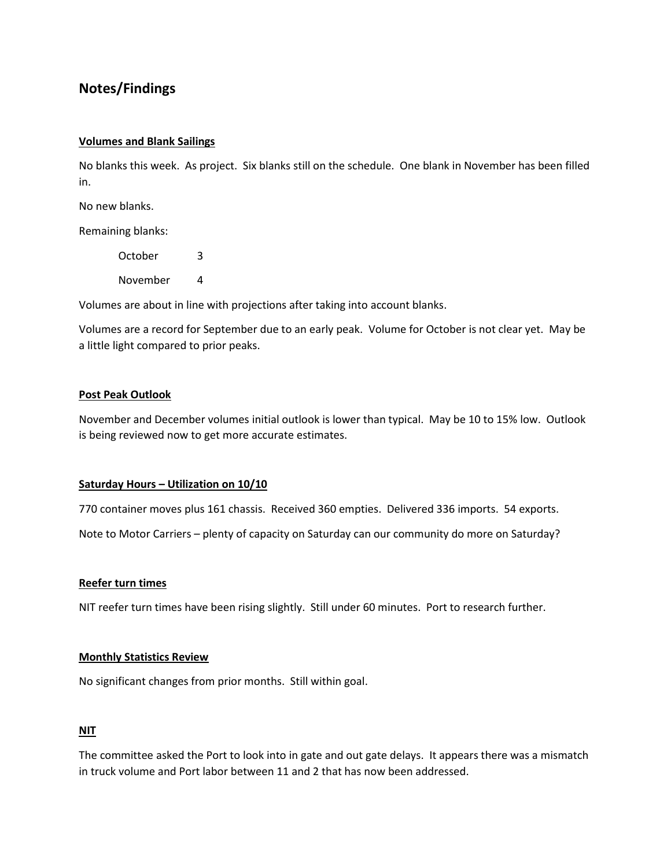# **Notes/Findings**

#### **Volumes and Blank Sailings**

No blanks this week. As project. Six blanks still on the schedule. One blank in November has been filled in.

No new blanks.

Remaining blanks:

October 3 November 4

Volumes are about in line with projections after taking into account blanks.

Volumes are a record for September due to an early peak. Volume for October is not clear yet. May be a little light compared to prior peaks.

#### **Post Peak Outlook**

November and December volumes initial outlook is lower than typical. May be 10 to 15% low. Outlook is being reviewed now to get more accurate estimates.

#### **Saturday Hours – Utilization on 10/10**

770 container moves plus 161 chassis. Received 360 empties. Delivered 336 imports. 54 exports.

Note to Motor Carriers – plenty of capacity on Saturday can our community do more on Saturday?

#### **Reefer turn times**

NIT reefer turn times have been rising slightly. Still under 60 minutes. Port to research further.

#### **Monthly Statistics Review**

No significant changes from prior months. Still within goal.

#### **NIT**

The committee asked the Port to look into in gate and out gate delays. It appears there was a mismatch in truck volume and Port labor between 11 and 2 that has now been addressed.